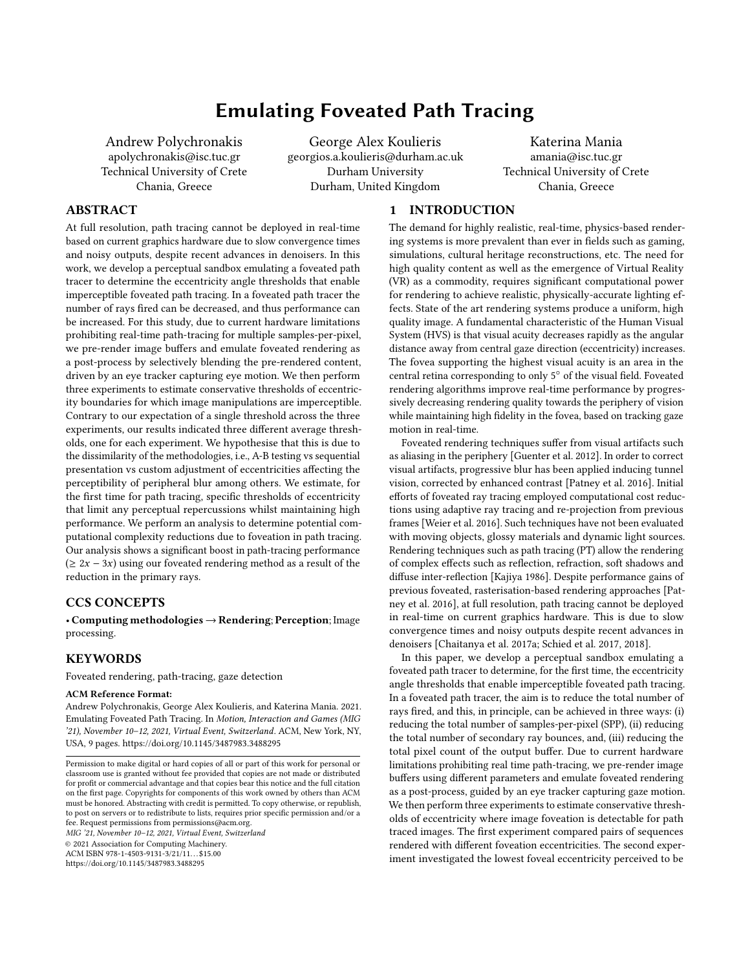# Emulating Foveated Path Tracing

Andrew Polychronakis apolychronakis@isc.tuc.gr Technical University of Crete Chania, Greece

George Alex Koulieris georgios.a.koulieris@durham.ac.uk Durham University Durham, United Kingdom

Katerina Mania amania@isc.tuc.gr Technical University of Crete Chania, Greece

# ABSTRACT

At full resolution, path tracing cannot be deployed in real-time based on current graphics hardware due to slow convergence times and noisy outputs, despite recent advances in denoisers. In this work, we develop a perceptual sandbox emulating a foveated path tracer to determine the eccentricity angle thresholds that enable imperceptible foveated path tracing. In a foveated path tracer the number of rays fired can be decreased, and thus performance can be increased. For this study, due to current hardware limitations prohibiting real-time path-tracing for multiple samples-per-pixel, we pre-render image buffers and emulate foveated rendering as a post-process by selectively blending the pre-rendered content, driven by an eye tracker capturing eye motion. We then perform three experiments to estimate conservative thresholds of eccentricity boundaries for which image manipulations are imperceptible. Contrary to our expectation of a single threshold across the three experiments, our results indicated three different average thresholds, one for each experiment. We hypothesise that this is due to the dissimilarity of the methodologies, i.e., A-B testing vs sequential presentation vs custom adjustment of eccentricities affecting the perceptibility of peripheral blur among others. We estimate, for the first time for path tracing, specific thresholds of eccentricity that limit any perceptual repercussions whilst maintaining high performance. We perform an analysis to determine potential computational complexity reductions due to foveation in path tracing. Our analysis shows a significant boost in path-tracing performance  $(≥ 2x - 3x)$  using our foveated rendering method as a result of the reduction in the primary rays.

# CCS CONCEPTS

• Computing methodologies → Rendering; Perception; Image processing.

# **KEYWORDS**

Foveated rendering, path-tracing, gaze detection

#### ACM Reference Format:

Andrew Polychronakis, George Alex Koulieris, and Katerina Mania. 2021. Emulating Foveated Path Tracing. In Motion, Interaction and Games (MIG '21), November 10–12, 2021, Virtual Event, Switzerland. ACM, New York, NY, USA, [9](#page-8-0) pages.<https://doi.org/10.1145/3487983.3488295>

MIG '21, November 10–12, 2021, Virtual Event, Switzerland

© 2021 Association for Computing Machinery.

ACM ISBN 978-1-4503-9131-3/21/11...\$15.00

<https://doi.org/10.1145/3487983.3488295>

# 1 INTRODUCTION

The demand for highly realistic, real-time, physics-based rendering systems is more prevalent than ever in fields such as gaming, simulations, cultural heritage reconstructions, etc. The need for high quality content as well as the emergence of Virtual Reality (VR) as a commodity, requires significant computational power for rendering to achieve realistic, physically-accurate lighting effects. State of the art rendering systems produce a uniform, high quality image. A fundamental characteristic of the Human Visual System (HVS) is that visual acuity decreases rapidly as the angular distance away from central gaze direction (eccentricity) increases. The fovea supporting the highest visual acuity is an area in the central retina corresponding to only 5◦ of the visual field. Foveated rendering algorithms improve real-time performance by progressively decreasing rendering quality towards the periphery of vision while maintaining high fidelity in the fovea, based on tracking gaze motion in real-time.

Foveated rendering techniques suffer from visual artifacts such as aliasing in the periphery [\[Guenter et al.](#page-8-1) [2012\]](#page-8-1). In order to correct visual artifacts, progressive blur has been applied inducing tunnel vision, corrected by enhanced contrast [\[Patney et al.](#page-8-2) [2016\]](#page-8-2). Initial efforts of foveated ray tracing employed computational cost reductions using adaptive ray tracing and re-projection from previous frames [\[Weier et al.](#page-8-3) [2016\]](#page-8-3). Such techniques have not been evaluated with moving objects, glossy materials and dynamic light sources. Rendering techniques such as path tracing (PT) allow the rendering of complex effects such as reflection, refraction, soft shadows and diffuse inter-reflection [\[Kajiya 1986\]](#page-8-4). Despite performance gains of previous foveated, rasterisation-based rendering approaches [\[Pat](#page-8-2)[ney et al.](#page-8-2) [2016\]](#page-8-2), at full resolution, path tracing cannot be deployed in real-time on current graphics hardware. This is due to slow convergence times and noisy outputs despite recent advances in denoisers [\[Chaitanya et al. 2017a;](#page-8-5) [Schied et al. 2017,](#page-8-6) [2018\]](#page-8-7).

In this paper, we develop a perceptual sandbox emulating a foveated path tracer to determine, for the first time, the eccentricity angle thresholds that enable imperceptible foveated path tracing. In a foveated path tracer, the aim is to reduce the total number of rays fired, and this, in principle, can be achieved in three ways: (i) reducing the total number of samples-per-pixel (SPP), (ii) reducing the total number of secondary ray bounces, and, (iii) reducing the total pixel count of the output buffer. Due to current hardware limitations prohibiting real time path-tracing, we pre-render image buffers using different parameters and emulate foveated rendering as a post-process, guided by an eye tracker capturing gaze motion. We then perform three experiments to estimate conservative thresholds of eccentricity where image foveation is detectable for path traced images. The first experiment compared pairs of sequences rendered with different foveation eccentricities. The second experiment investigated the lowest foveal eccentricity perceived to be

Permission to make digital or hard copies of all or part of this work for personal or classroom use is granted without fee provided that copies are not made or distributed for profit or commercial advantage and that copies bear this notice and the full citation on the first page. Copyrights for components of this work owned by others than ACM must be honored. Abstracting with credit is permitted. To copy otherwise, or republish, to post on servers or to redistribute to lists, requires prior specific permission and/or a fee. Request permissions from permissions@acm.org.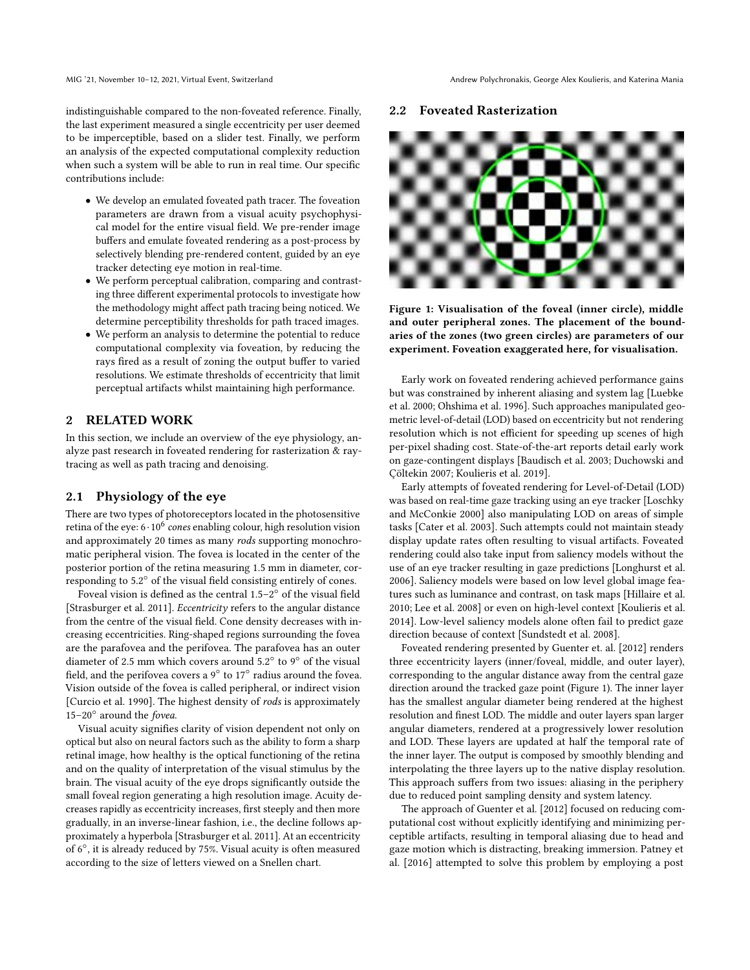indistinguishable compared to the non-foveated reference. Finally, the last experiment measured a single eccentricity per user deemed to be imperceptible, based on a slider test. Finally, we perform an analysis of the expected computational complexity reduction when such a system will be able to run in real time. Our specific contributions include:

- We develop an emulated foveated path tracer. The foveation parameters are drawn from a visual acuity psychophysical model for the entire visual field. We pre-render image buffers and emulate foveated rendering as a post-process by selectively blending pre-rendered content, guided by an eye tracker detecting eye motion in real-time.
- We perform perceptual calibration, comparing and contrasting three different experimental protocols to investigate how the methodology might affect path tracing being noticed. We determine perceptibility thresholds for path traced images.
- We perform an analysis to determine the potential to reduce computational complexity via foveation, by reducing the rays fired as a result of zoning the output buffer to varied resolutions. We estimate thresholds of eccentricity that limit perceptual artifacts whilst maintaining high performance.

#### **RELATED WORK**

In this section, we include an overview of the eye physiology, analyze past research in foveated rendering for rasterization & raytracing as well as path tracing and denoising.

#### 2.1 Physiology of the eye

There are two types of photoreceptors located in the photosensitive retina of the eye: 6 $\cdot$  10 $^6$  *cones* enabling colour, high resolution vision and approximately 20 times as many rods supporting monochromatic peripheral vision. The fovea is located in the center of the posterior portion of the retina measuring 1.5 mm in diameter, corresponding to 5.2◦ of the visual field consisting entirely of cones.

Foveal vision is defined as the central 1.5–2◦ of the visual field [\[Strasburger et al.](#page-8-8) [2011\]](#page-8-8). Eccentricity refers to the angular distance from the centre of the visual field. Cone density decreases with increasing eccentricities. Ring-shaped regions surrounding the fovea are the parafovea and the perifovea. The parafovea has an outer diameter of 2.5 mm which covers around 5.2° to 9° of the visual field, and the perifovea covers a  $9^{\circ}$  to  $17^{\circ}$  radius around the fovea. Vision outside of the fovea is called peripheral, or indirect vision [\[Curcio et al.](#page-8-9) [1990\]](#page-8-9). The highest density of rods is approximately 15–20◦ around the fovea.

Visual acuity signifies clarity of vision dependent not only on optical but also on neural factors such as the ability to form a sharp retinal image, how healthy is the optical functioning of the retina and on the quality of interpretation of the visual stimulus by the brain. The visual acuity of the eye drops significantly outside the small foveal region generating a high resolution image. Acuity decreases rapidly as eccentricity increases, first steeply and then more gradually, in an inverse-linear fashion, i.e., the decline follows approximately a hyperbola [\[Strasburger et al.](#page-8-8) [2011\]](#page-8-8). At an eccentricity of 6◦ , it is already reduced by 75%. Visual acuity is often measured according to the size of letters viewed on a Snellen chart.

#### 2.2 Foveated Rasterization

<span id="page-1-0"></span>

Figure 1: Visualisation of the foveal (inner circle), middle and outer peripheral zones. The placement of the boundaries of the zones (two green circles) are parameters of our experiment. Foveation exaggerated here, for visualisation.

Early work on foveated rendering achieved performance gains but was constrained by inherent aliasing and system lag [\[Luebke](#page-8-10) [et al.](#page-8-10) [2000;](#page-8-10) [Ohshima et al.](#page-8-11) [1996\]](#page-8-11). Such approaches manipulated geometric level-of-detail (LOD) based on eccentricity but not rendering resolution which is not efficient for speeding up scenes of high per-pixel shading cost. State-of-the-art reports detail early work on gaze-contingent displays [\[Baudisch et al.](#page-8-12) [2003;](#page-8-12) [Duchowski and](#page-8-13) [Çöltekin 2007;](#page-8-13) [Koulieris et al. 2019\]](#page-8-14).

Early attempts of foveated rendering for Level-of-Detail (LOD) was based on real-time gaze tracking using an eye tracker [\[Loschky](#page-8-15) [and McConkie 2000\]](#page-8-15) also manipulating LOD on areas of simple tasks [\[Cater et al.](#page-8-16) [2003\]](#page-8-16). Such attempts could not maintain steady display update rates often resulting to visual artifacts. Foveated rendering could also take input from saliency models without the use of an eye tracker resulting in gaze predictions [\[Longhurst et al.](#page-8-17) [2006\]](#page-8-17). Saliency models were based on low level global image features such as luminance and contrast, on task maps [\[Hillaire et al.](#page-8-18) [2010;](#page-8-18) [Lee et al.](#page-8-19) [2008\]](#page-8-19) or even on high-level context [\[Koulieris et al.](#page-8-20) [2014\]](#page-8-20). Low-level saliency models alone often fail to predict gaze direction because of context [\[Sundstedt et al. 2008\]](#page-8-21).

Foveated rendering presented by Guenter et. al. [\[2012\]](#page-8-1) renders three eccentricity layers (inner/foveal, middle, and outer layer), corresponding to the angular distance away from the central gaze direction around the tracked gaze point (Figure [1\)](#page-1-0). The inner layer has the smallest angular diameter being rendered at the highest resolution and finest LOD. The middle and outer layers span larger angular diameters, rendered at a progressively lower resolution and LOD. These layers are updated at half the temporal rate of the inner layer. The output is composed by smoothly blending and interpolating the three layers up to the native display resolution. This approach suffers from two issues: aliasing in the periphery due to reduced point sampling density and system latency.

The approach of Guenter et al. [\[2012\]](#page-8-1) focused on reducing computational cost without explicitly identifying and minimizing perceptible artifacts, resulting in temporal aliasing due to head and gaze motion which is distracting, breaking immersion. Patney et al. [\[2016\]](#page-8-2) attempted to solve this problem by employing a post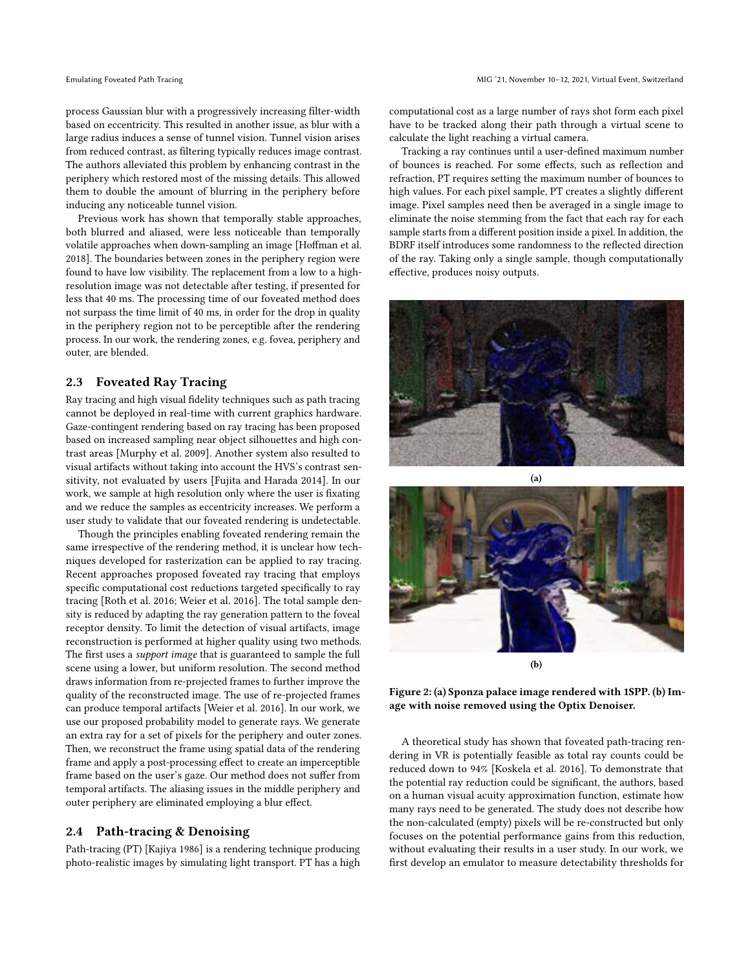process Gaussian blur with a progressively increasing filter-width based on eccentricity. This resulted in another issue, as blur with a large radius induces a sense of tunnel vision. Tunnel vision arises from reduced contrast, as filtering typically reduces image contrast. The authors alleviated this problem by enhancing contrast in the periphery which restored most of the missing details. This allowed them to double the amount of blurring in the periphery before inducing any noticeable tunnel vision.

Previous work has shown that temporally stable approaches, both blurred and aliased, were less noticeable than temporally volatile approaches when down-sampling an image [\[Hoffman et al.](#page-8-22) [2018\]](#page-8-22). The boundaries between zones in the periphery region were found to have low visibility. The replacement from a low to a highresolution image was not detectable after testing, if presented for less that 40 ms. The processing time of our foveated method does not surpass the time limit of 40 ms, in order for the drop in quality in the periphery region not to be perceptible after the rendering process. In our work, the rendering zones, e.g. fovea, periphery and outer, are blended.

# 2.3 Foveated Ray Tracing

Ray tracing and high visual fidelity techniques such as path tracing cannot be deployed in real-time with current graphics hardware. Gaze-contingent rendering based on ray tracing has been proposed based on increased sampling near object silhouettes and high contrast areas [\[Murphy et al.](#page-8-23) [2009\]](#page-8-23). Another system also resulted to visual artifacts without taking into account the HVS's contrast sensitivity, not evaluated by users [\[Fujita and Harada 2014\]](#page-8-24). In our work, we sample at high resolution only where the user is fixating and we reduce the samples as eccentricity increases. We perform a user study to validate that our foveated rendering is undetectable.

Though the principles enabling foveated rendering remain the same irrespective of the rendering method, it is unclear how techniques developed for rasterization can be applied to ray tracing. Recent approaches proposed foveated ray tracing that employs specific computational cost reductions targeted specifically to ray tracing [\[Roth et al.](#page-8-25) [2016;](#page-8-25) [Weier et al.](#page-8-3) [2016\]](#page-8-3). The total sample density is reduced by adapting the ray generation pattern to the foveal receptor density. To limit the detection of visual artifacts, image reconstruction is performed at higher quality using two methods. The first uses a *support image* that is guaranteed to sample the full scene using a lower, but uniform resolution. The second method draws information from re-projected frames to further improve the quality of the reconstructed image. The use of re-projected frames can produce temporal artifacts [\[Weier et al.](#page-8-3) [2016\]](#page-8-3). In our work, we use our proposed probability model to generate rays. We generate an extra ray for a set of pixels for the periphery and outer zones. Then, we reconstruct the frame using spatial data of the rendering frame and apply a post-processing effect to create an imperceptible frame based on the user's gaze. Our method does not suffer from temporal artifacts. The aliasing issues in the middle periphery and outer periphery are eliminated employing a blur effect.

#### 2.4 Path-tracing & Denoising

Path-tracing (PT) [\[Kajiya 1986\]](#page-8-4) is a rendering technique producing photo-realistic images by simulating light transport. PT has a high computational cost as a large number of rays shot form each pixel have to be tracked along their path through a virtual scene to calculate the light reaching a virtual camera.

Tracking a ray continues until a user-defined maximum number of bounces is reached. For some effects, such as reflection and refraction, PT requires setting the maximum number of bounces to high values. For each pixel sample, PT creates a slightly different image. Pixel samples need then be averaged in a single image to eliminate the noise stemming from the fact that each ray for each sample starts from a different position inside a pixel. In addition, the BDRF itself introduces some randomness to the reflected direction of the ray. Taking only a single sample, though computationally effective, produces noisy outputs.

<span id="page-2-0"></span>



Figure 2: (a) Sponza palace image rendered with 1SPP. (b) Image with noise removed using the Optix Denoiser.

A theoretical study has shown that foveated path-tracing rendering in VR is potentially feasible as total ray counts could be reduced down to 94% [\[Koskela et al.](#page-8-26) [2016\]](#page-8-26). To demonstrate that the potential ray reduction could be significant, the authors, based on a human visual acuity approximation function, estimate how many rays need to be generated. The study does not describe how the non-calculated (empty) pixels will be re-constructed but only focuses on the potential performance gains from this reduction, without evaluating their results in a user study. In our work, we first develop an emulator to measure detectability thresholds for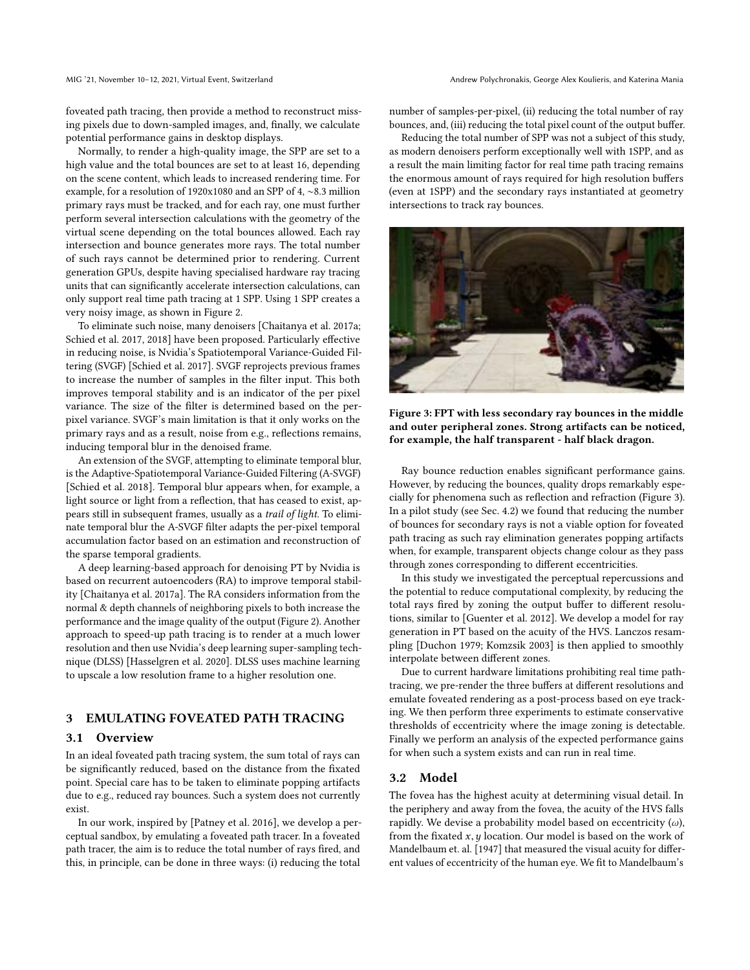foveated path tracing, then provide a method to reconstruct missing pixels due to down-sampled images, and, finally, we calculate potential performance gains in desktop displays.

Normally, to render a high-quality image, the SPP are set to a high value and the total bounces are set to at least 16, depending on the scene content, which leads to increased rendering time. For example, for a resolution of 1920x1080 and an SPP of 4, ∼8.3 million primary rays must be tracked, and for each ray, one must further perform several intersection calculations with the geometry of the virtual scene depending on the total bounces allowed. Each ray intersection and bounce generates more rays. The total number of such rays cannot be determined prior to rendering. Current generation GPUs, despite having specialised hardware ray tracing units that can significantly accelerate intersection calculations, can only support real time path tracing at 1 SPP. Using 1 SPP creates a very noisy image, as shown in Figure [2.](#page-2-0)

To eliminate such noise, many denoisers [\[Chaitanya et al.](#page-8-5) [2017a;](#page-8-5) [Schied et al.](#page-8-6) [2017,](#page-8-6) [2018\]](#page-8-7) have been proposed. Particularly effective in reducing noise, is Nvidia's Spatiotemporal Variance-Guided Filtering (SVGF) [\[Schied et al.](#page-8-6) [2017\]](#page-8-6). SVGF reprojects previous frames to increase the number of samples in the filter input. This both improves temporal stability and is an indicator of the per pixel variance. The size of the filter is determined based on the perpixel variance. SVGF's main limitation is that it only works on the primary rays and as a result, noise from e.g., reflections remains, inducing temporal blur in the denoised frame.

An extension of the SVGF, attempting to eliminate temporal blur, is the Adaptive-Spatiotemporal Variance-Guided Filtering (A-SVGF) [\[Schied et al.](#page-8-7) [2018\]](#page-8-7). Temporal blur appears when, for example, a light source or light from a reflection, that has ceased to exist, appears still in subsequent frames, usually as a trail of light. To eliminate temporal blur the A-SVGF filter adapts the per-pixel temporal accumulation factor based on an estimation and reconstruction of the sparse temporal gradients.

A deep learning-based approach for denoising PT by Nvidia is based on recurrent autoencoders (RA) to improve temporal stability [\[Chaitanya et al.](#page-8-5) [2017a\]](#page-8-5). The RA considers information from the normal & depth channels of neighboring pixels to both increase the performance and the image quality of the output (Figure [2\)](#page-2-0). Another approach to speed-up path tracing is to render at a much lower resolution and then use Nvidia's deep learning super-sampling technique (DLSS) [\[Hasselgren et al.](#page-8-27) [2020\]](#page-8-27). DLSS uses machine learning to upscale a low resolution frame to a higher resolution one.

# 3 EMULATING FOVEATED PATH TRACING

#### 3.1 Overview

In an ideal foveated path tracing system, the sum total of rays can be significantly reduced, based on the distance from the fixated point. Special care has to be taken to eliminate popping artifacts due to e.g., reduced ray bounces. Such a system does not currently exist.

In our work, inspired by [\[Patney et al.](#page-8-2) [2016\]](#page-8-2), we develop a perceptual sandbox, by emulating a foveated path tracer. In a foveated path tracer, the aim is to reduce the total number of rays fired, and this, in principle, can be done in three ways: (i) reducing the total

number of samples-per-pixel, (ii) reducing the total number of ray bounces, and, (iii) reducing the total pixel count of the output buffer.

Reducing the total number of SPP was not a subject of this study, as modern denoisers perform exceptionally well with 1SPP, and as a result the main limiting factor for real time path tracing remains the enormous amount of rays required for high resolution buffers (even at 1SPP) and the secondary rays instantiated at geometry intersections to track ray bounces.

<span id="page-3-0"></span>

Figure 3: FPT with less secondary ray bounces in the middle and outer peripheral zones. Strong artifacts can be noticed, for example, the half transparent - half black dragon.

Ray bounce reduction enables significant performance gains. However, by reducing the bounces, quality drops remarkably especially for phenomena such as reflection and refraction (Figure [3\)](#page-3-0). In a pilot study (see Sec. [4.2\)](#page-5-0) we found that reducing the number of bounces for secondary rays is not a viable option for foveated path tracing as such ray elimination generates popping artifacts when, for example, transparent objects change colour as they pass through zones corresponding to different eccentricities.

In this study we investigated the perceptual repercussions and the potential to reduce computational complexity, by reducing the total rays fired by zoning the output buffer to different resolutions, similar to [\[Guenter et al.](#page-8-1) [2012\]](#page-8-1). We develop a model for ray generation in PT based on the acuity of the HVS. Lanczos resampling [\[Duchon 1979;](#page-8-28) [Komzsik 2003\]](#page-8-29) is then applied to smoothly interpolate between different zones.

Due to current hardware limitations prohibiting real time pathtracing, we pre-render the three buffers at different resolutions and emulate foveated rendering as a post-process based on eye tracking. We then perform three experiments to estimate conservative thresholds of eccentricity where the image zoning is detectable. Finally we perform an analysis of the expected performance gains for when such a system exists and can run in real time.

#### <span id="page-3-1"></span>3.2 Model

The fovea has the highest acuity at determining visual detail. In the periphery and away from the fovea, the acuity of the HVS falls rapidly. We devise a probability model based on eccentricity  $(\omega)$ , from the fixated  $x, y$  location. Our model is based on the work of Mandelbaum et. al. [\[1947\]](#page-8-30) that measured the visual acuity for different values of eccentricity of the human eye. We fit to Mandelbaum's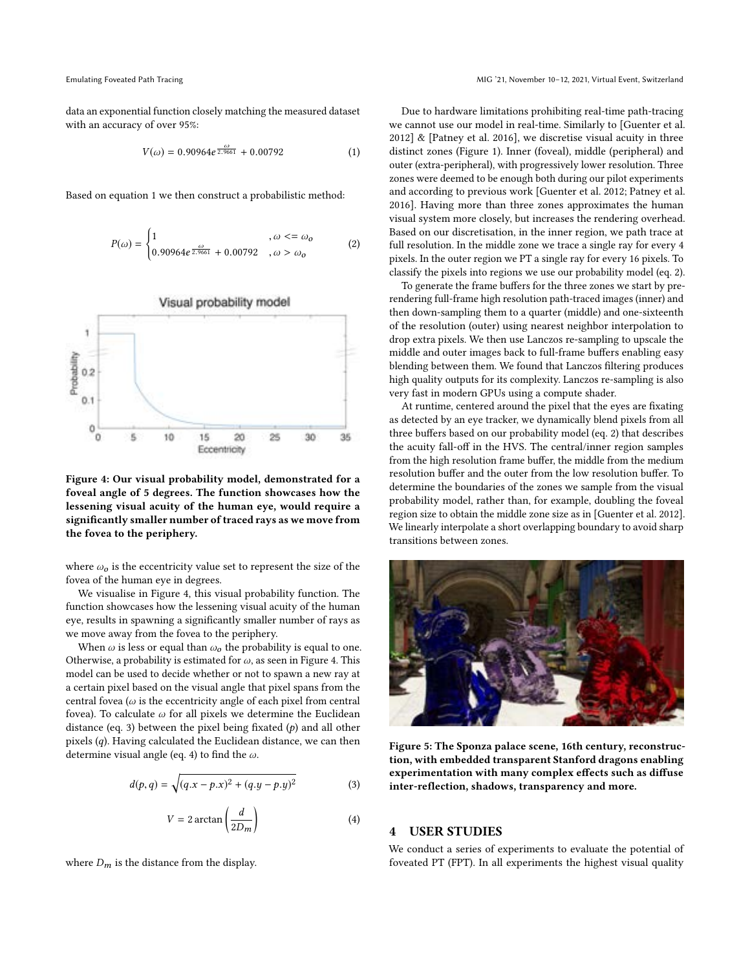data an exponential function closely matching the measured dataset with an accuracy of over 95%:

<span id="page-4-0"></span>
$$
V(\omega) = 0.90964e^{\frac{\omega}{2.9661}} + 0.00792
$$
 (1)

Based on equation [1](#page-4-0) we then construct a probabilistic method:

<span id="page-4-4"></span>
$$
P(\omega) = \begin{cases} 1 & , \omega < = \omega_0 \\ 0.90964e^{\frac{\omega}{2.9661}} + 0.00792 & , \omega > \omega_0 \end{cases}
$$
 (2)

<span id="page-4-1"></span>

Figure 4: Our visual probability model, demonstrated for a foveal angle of 5 degrees. The function showcases how the lessening visual acuity of the human eye, would require a significantly smaller number of traced rays as we move from the fovea to the periphery.

where  $\omega_0$  is the eccentricity value set to represent the size of the fovea of the human eye in degrees.

We visualise in Figure [4,](#page-4-1) this visual probability function. The function showcases how the lessening visual acuity of the human eye, results in spawning a significantly smaller number of rays as we move away from the fovea to the periphery.

When  $\omega$  is less or equal than  $\omega_o$  the probability is equal to one. Otherwise, a probability is estimated for  $\omega$ , as seen in Figure [4.](#page-4-1) This model can be used to decide whether or not to spawn a new ray at a certain pixel based on the visual angle that pixel spans from the central fovea ( $\omega$  is the eccentricity angle of each pixel from central fovea). To calculate  $\omega$  for all pixels we determine the Euclidean distance (eq. [3\)](#page-4-2) between the pixel being fixated  $(p)$  and all other pixels (q). Having calculated the Euclidean distance, we can then determine visual angle (eq. [4\)](#page-4-3) to find the  $\omega.$ 

<span id="page-4-2"></span>
$$
d(p,q) = \sqrt{(q.x - p.x)^2 + (q.y - p.y)^2}
$$
 (3)

<span id="page-4-3"></span>
$$
V = 2 \arctan\left(\frac{d}{2D_m}\right) \tag{4}
$$

where  $D_m$  is the distance from the display.

Due to hardware limitations prohibiting real-time path-tracing we cannot use our model in real-time. Similarly to [\[Guenter et al.](#page-8-1) [2012\]](#page-8-1) & [\[Patney et al.](#page-8-2) [2016\]](#page-8-2), we discretise visual acuity in three distinct zones (Figure [1\)](#page-1-0). Inner (foveal), middle (peripheral) and outer (extra-peripheral), with progressively lower resolution. Three zones were deemed to be enough both during our pilot experiments and according to previous work [\[Guenter et al.](#page-8-1) [2012;](#page-8-1) [Patney et al.](#page-8-2) [2016\]](#page-8-2). Having more than three zones approximates the human visual system more closely, but increases the rendering overhead. Based on our discretisation, in the inner region, we path trace at full resolution. In the middle zone we trace a single ray for every 4 pixels. In the outer region we PT a single ray for every 16 pixels. To classify the pixels into regions we use our probability model (eq. [2\)](#page-4-4).

To generate the frame buffers for the three zones we start by prerendering full-frame high resolution path-traced images (inner) and then down-sampling them to a quarter (middle) and one-sixteenth of the resolution (outer) using nearest neighbor interpolation to drop extra pixels. We then use Lanczos re-sampling to upscale the middle and outer images back to full-frame buffers enabling easy blending between them. We found that Lanczos filtering produces high quality outputs for its complexity. Lanczos re-sampling is also very fast in modern GPUs using a compute shader.

At runtime, centered around the pixel that the eyes are fixating as detected by an eye tracker, we dynamically blend pixels from all three buffers based on our probability model (eq. [2\)](#page-4-4) that describes the acuity fall-off in the HVS. The central/inner region samples from the high resolution frame buffer, the middle from the medium resolution buffer and the outer from the low resolution buffer. To determine the boundaries of the zones we sample from the visual probability model, rather than, for example, doubling the foveal region size to obtain the middle zone size as in [\[Guenter et al.](#page-8-1) [2012\]](#page-8-1). We linearly interpolate a short overlapping boundary to avoid sharp transitions between zones.

<span id="page-4-5"></span>

Figure 5: The Sponza palace scene, 16th century, reconstruction, with embedded transparent Stanford dragons enabling experimentation with many complex effects such as diffuse inter-reflection, shadows, transparency and more.

# 4 USER STUDIES

We conduct a series of experiments to evaluate the potential of foveated PT (FPT). In all experiments the highest visual quality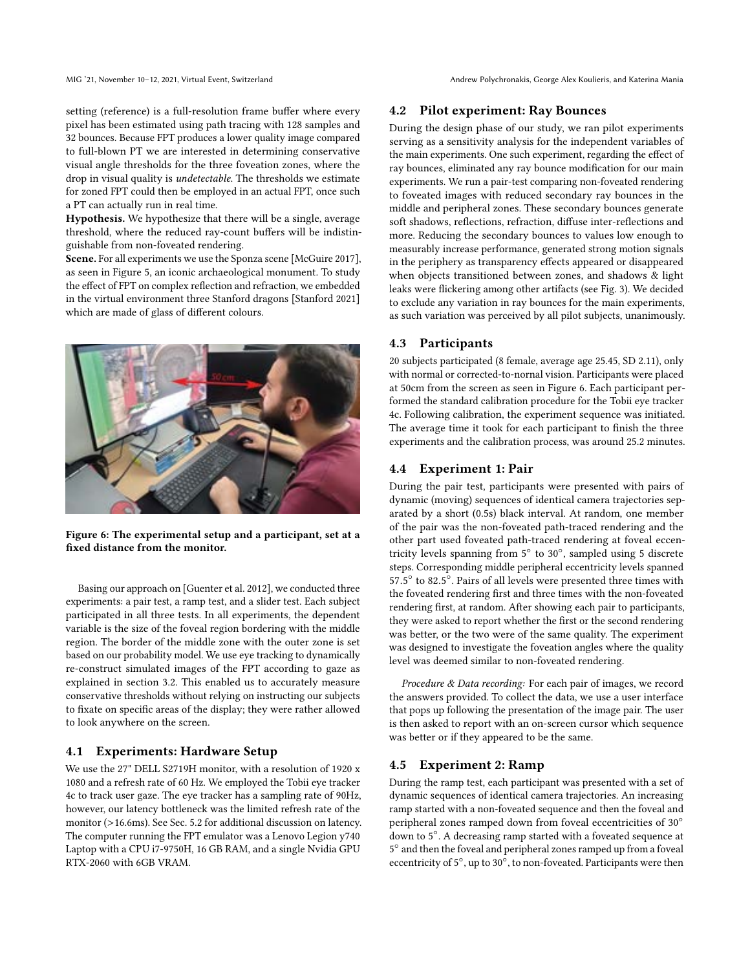MIG '21, November 10–12, 2021, Virtual Event, Switzerland Andrew Polychronakis, George Alex Koulieris, and Katerina Mania

setting (reference) is a full-resolution frame buffer where every pixel has been estimated using path tracing with 128 samples and 32 bounces. Because FPT produces a lower quality image compared to full-blown PT we are interested in determining conservative visual angle thresholds for the three foveation zones, where the drop in visual quality is undetectable. The thresholds we estimate for zoned FPT could then be employed in an actual FPT, once such a PT can actually run in real time.

Hypothesis. We hypothesize that there will be a single, average threshold, where the reduced ray-count buffers will be indistinguishable from non-foveated rendering.

Scene. For all experiments we use the Sponza scene [\[McGuire 2017\]](#page-8-31), as seen in Figure [5,](#page-4-5) an iconic archaeological monument. To study the effect of FPT on complex reflection and refraction, we embedded in the virtual environment three Stanford dragons [\[Stanford 2021\]](#page-8-32) which are made of glass of different colours.

<span id="page-5-1"></span>

Figure 6: The experimental setup and a participant, set at a fixed distance from the monitor.

Basing our approach on [\[Guenter et al.](#page-8-1) [2012\]](#page-8-1), we conducted three experiments: a pair test, a ramp test, and a slider test. Each subject participated in all three tests. In all experiments, the dependent variable is the size of the foveal region bordering with the middle region. The border of the middle zone with the outer zone is set based on our probability model. We use eye tracking to dynamically re-construct simulated images of the FPT according to gaze as explained in section [3.2.](#page-3-1) This enabled us to accurately measure conservative thresholds without relying on instructing our subjects to fixate on specific areas of the display; they were rather allowed to look anywhere on the screen.

#### 4.1 Experiments: Hardware Setup

We use the 27" DELL S2719H monitor, with a resolution of 1920 x 1080 and a refresh rate of 60 Hz. We employed the Tobii eye tracker 4c to track user gaze. The eye tracker has a sampling rate of 90Hz, however, our latency bottleneck was the limited refresh rate of the monitor (>16.6ms). See Sec. [5.2](#page-7-0) for additional discussion on latency. The computer running the FPT emulator was a Lenovo Legion y740 Laptop with a CPU i7-9750H, 16 GB RAM, and a single Nvidia GPU RTX-2060 with 6GB VRAM.

## <span id="page-5-0"></span>4.2 Pilot experiment: Ray Bounces

During the design phase of our study, we ran pilot experiments serving as a sensitivity analysis for the independent variables of the main experiments. One such experiment, regarding the effect of ray bounces, eliminated any ray bounce modification for our main experiments. We run a pair-test comparing non-foveated rendering to foveated images with reduced secondary ray bounces in the middle and peripheral zones. These secondary bounces generate soft shadows, reflections, refraction, diffuse inter-reflections and more. Reducing the secondary bounces to values low enough to measurably increase performance, generated strong motion signals in the periphery as transparency effects appeared or disappeared when objects transitioned between zones, and shadows & light leaks were flickering among other artifacts (see Fig. [3\)](#page-3-0). We decided to exclude any variation in ray bounces for the main experiments, as such variation was perceived by all pilot subjects, unanimously.

# 4.3 Participants

20 subjects participated (8 female, average age 25.45, SD 2.11), only with normal or corrected-to-nornal vision. Participants were placed at 50cm from the screen as seen in Figure [6.](#page-5-1) Each participant performed the standard calibration procedure for the Tobii eye tracker 4c. Following calibration, the experiment sequence was initiated. The average time it took for each participant to finish the three experiments and the calibration process, was around 25.2 minutes.

### 4.4 Experiment 1: Pair

During the pair test, participants were presented with pairs of dynamic (moving) sequences of identical camera trajectories separated by a short (0.5s) black interval. At random, one member of the pair was the non-foveated path-traced rendering and the other part used foveated path-traced rendering at foveal eccentricity levels spanning from 5° to 30°, sampled using 5 discrete steps. Corresponding middle peripheral eccentricity levels spanned  $57.5^\circ$  to  $82.5^\circ$ . Pairs of all levels were presented three times with the fove ted rendering first and three times with the non-fove ted the foveated rendering first and three times with the non-foveated rendering first, at random. After showing each pair to participants, they were asked to report whether the first or the second rendering was better, or the two were of the same quality. The experiment was designed to investigate the foveation angles where the quality level was deemed similar to non-foveated rendering.

Procedure & Data recording: For each pair of images, we record the answers provided. To collect the data, we use a user interface that pops up following the presentation of the image pair. The user is then asked to report with an on-screen cursor which sequence was better or if they appeared to be the same.

#### 4.5 Experiment 2: Ramp

During the ramp test, each participant was presented with a set of dynamic sequences of identical camera trajectories. An increasing ramp started with a non-foveated sequence and then the foveal and peripheral zones ramped down from foveal eccentricities of 30◦ down to 5 ◦ . A decreasing ramp started with a foveated sequence at 5 ◦ and then the foveal and peripheral zones ramped up from a foveal eccentricity of 5°, up to 30°, to non-foveated. Participants were then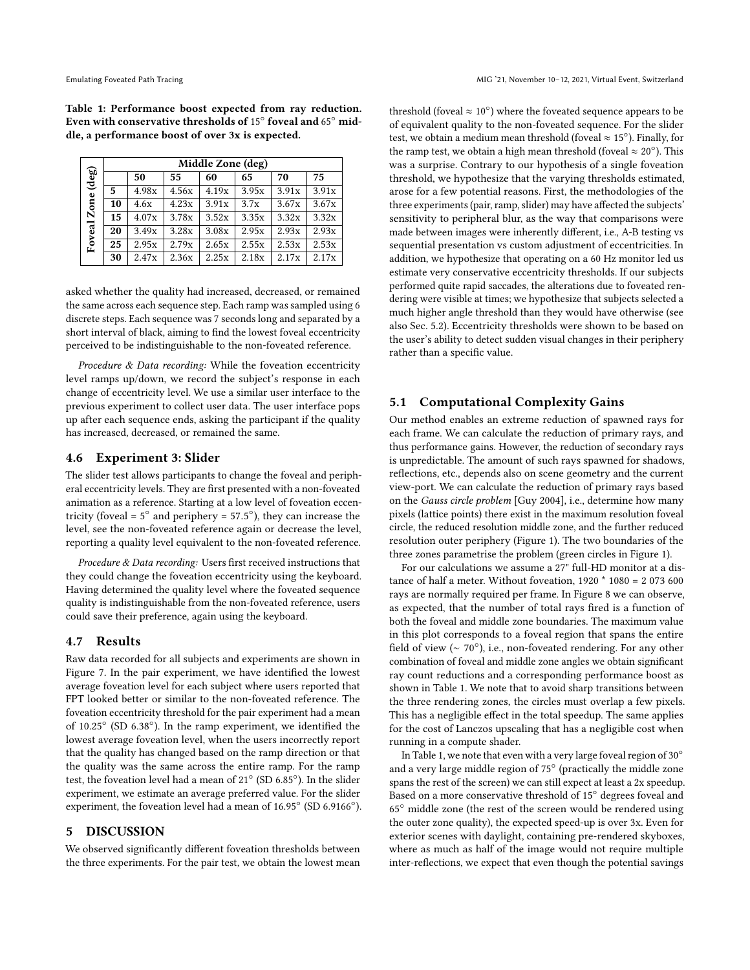<span id="page-6-0"></span>Table 1: Performance boost expected from ray reduction. Even with conservative thresholds of  $15^{\circ}$  foveal and  $65^{\circ}$  middle, a performance boost of over 3x is expected.

|                         | Middle Zone (deg) |       |       |       |       |       |       |
|-------------------------|-------------------|-------|-------|-------|-------|-------|-------|
| $(\deg)$<br>Foveal Zone |                   | 50    | 55    | 60    | 65    | 70    | 75    |
|                         | 5                 | 4.98x | 4.56x | 4.19x | 3.95x | 3.91x | 3.91x |
|                         | 10                | 4.6x  | 4.23x | 3.91x | 3.7x  | 3.67x | 3.67x |
|                         | 15                | 4.07x | 3.78x | 3.52x | 3.35x | 3.32x | 3.32x |
|                         | 20                | 3.49x | 3.28x | 3.08x | 2.95x | 2.93x | 2.93x |
|                         | 25                | 2.95x | 2.79x | 2.65x | 2.55x | 2.53x | 2.53x |
|                         | 30                | 2.47x | 2.36x | 2.25x | 2.18x | 2.17x | 2.17x |

asked whether the quality had increased, decreased, or remained the same across each sequence step. Each ramp was sampled using 6 discrete steps. Each sequence was 7 seconds long and separated by a short interval of black, aiming to find the lowest foveal eccentricity perceived to be indistinguishable to the non-foveated reference.

Procedure & Data recording: While the foveation eccentricity level ramps up/down, we record the subject's response in each change of eccentricity level. We use a similar user interface to the previous experiment to collect user data. The user interface pops up after each sequence ends, asking the participant if the quality has increased, decreased, or remained the same.

## 4.6 Experiment 3: Slider

The slider test allows participants to change the foveal and peripheral eccentricity levels. They are first presented with a non-foveated animation as a reference. Starting at a low level of foveation eccentricity (foveal =  $5^\circ$  and periphery =  $57.5^\circ$ ), they can increase the layel see the non-foveated reference again or decrease the layel level, see the non-foveated reference again or decrease the level, reporting a quality level equivalent to the non-foveated reference.

Procedure & Data recording: Users first received instructions that they could change the foveation eccentricity using the keyboard. Having determined the quality level where the foveated sequence quality is indistinguishable from the non-foveated reference, users could save their preference, again using the keyboard.

#### 4.7 Results

Raw data recorded for all subjects and experiments are shown in Figure [7.](#page-7-1) In the pair experiment, we have identified the lowest average foveation level for each subject where users reported that FPT looked better or similar to the non-foveated reference. The foveation eccentricity threshold for the pair experiment had a mean of 10.25◦ (SD 6.38◦ ). In the ramp experiment, we identified the lowest average foveation level, when the users incorrectly report that the quality has changed based on the ramp direction or that the quality was the same across the entire ramp. For the ramp test, the foveation level had a mean of 21◦ (SD 6.85◦ ). In the slider experiment, we estimate an average preferred value. For the slider experiment, the foveation level had a mean of 16.95◦ (SD 6.9166◦ ).

# 5 DISCUSSION

We observed significantly different foveation thresholds between the three experiments. For the pair test, we obtain the lowest mean

threshold (foveal  $\approx 10^{\circ}$ ) where the foveated sequence appears to be of equivalent quality to the non-foveated sequence. For the slider test, we obtain a medium mean threshold (foveal  $\approx$  15°). Finally, for the ramp test, we obtain a high mean threshold (foveal  $\approx 20^{\circ}$ ). This was a surprise. Contrary to our hypothesis of a single foveation threshold, we hypothesize that the varying thresholds estimated, arose for a few potential reasons. First, the methodologies of the three experiments (pair, ramp, slider) may have affected the subjects' sensitivity to peripheral blur, as the way that comparisons were made between images were inherently different, i.e., A-B testing vs sequential presentation vs custom adjustment of eccentricities. In addition, we hypothesize that operating on a 60 Hz monitor led us estimate very conservative eccentricity thresholds. If our subjects performed quite rapid saccades, the alterations due to foveated rendering were visible at times; we hypothesize that subjects selected a much higher angle threshold than they would have otherwise (see also Sec. [5.2\)](#page-7-0). Eccentricity thresholds were shown to be based on the user's ability to detect sudden visual changes in their periphery rather than a specific value.

# 5.1 Computational Complexity Gains

Our method enables an extreme reduction of spawned rays for each frame. We can calculate the reduction of primary rays, and thus performance gains. However, the reduction of secondary rays is unpredictable. The amount of such rays spawned for shadows, reflections, etc., depends also on scene geometry and the current view-port. We can calculate the reduction of primary rays based on the Gauss circle problem [\[Guy 2004\]](#page-8-33), i.e., determine how many pixels (lattice points) there exist in the maximum resolution foveal circle, the reduced resolution middle zone, and the further reduced resolution outer periphery (Figure [1\)](#page-1-0). The two boundaries of the three zones parametrise the problem (green circles in Figure [1\)](#page-1-0).

For our calculations we assume a 27" full-HD monitor at a distance of half a meter. Without foveation, 1920 \* 1080 = 2 073 600 rays are normally required per frame. In Figure [8](#page-7-2) we can observe, as expected, that the number of total rays fired is a function of both the foveal and middle zone boundaries. The maximum value in this plot corresponds to a foveal region that spans the entire field of view ( $\sim 70^{\circ}$ ), i.e., non-foveated rendering. For any other combination of foveal and middle zone angles we obtain significant ray count reductions and a corresponding performance boost as shown in Table [1.](#page-6-0) We note that to avoid sharp transitions between the three rendering zones, the circles must overlap a few pixels. This has a negligible effect in the total speedup. The same applies for the cost of Lanczos upscaling that has a negligible cost when running in a compute shader.

In Table [1,](#page-6-0) we note that even with a very large foveal region of 30◦ and a very large middle region of 75° (practically the middle zone spans the rest of the screen) we can still expect at least a 2x speedup. Based on a more conservative threshold of 15◦ degrees foveal and 65◦ middle zone (the rest of the screen would be rendered using the outer zone quality), the expected speed-up is over 3x. Even for exterior scenes with daylight, containing pre-rendered skyboxes, where as much as half of the image would not require multiple inter-reflections, we expect that even though the potential savings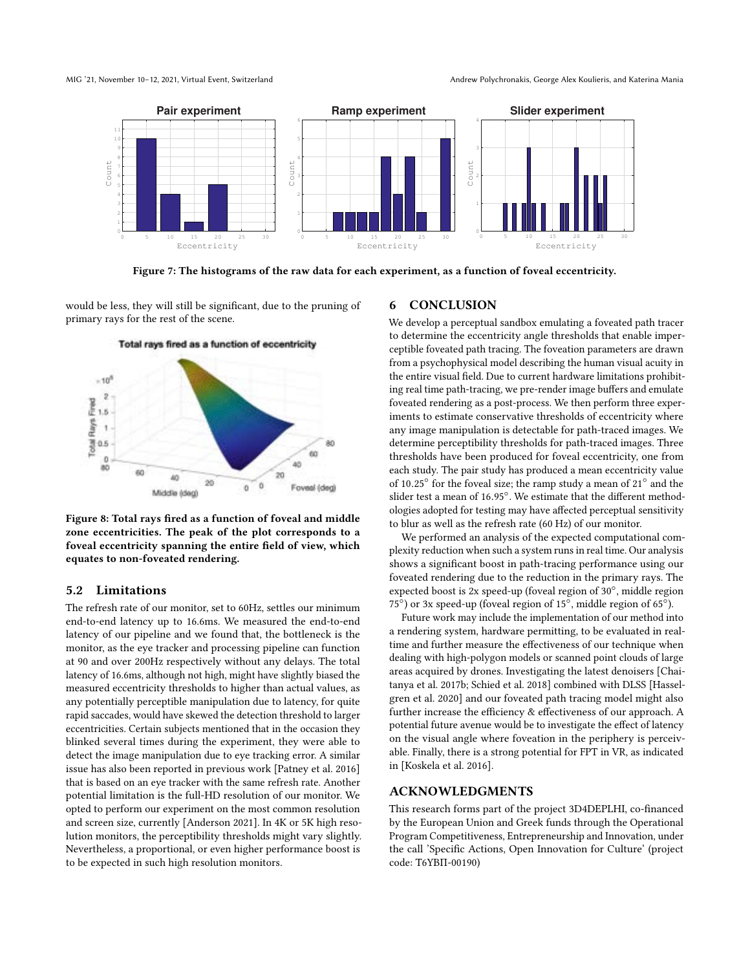<span id="page-7-1"></span>

Figure 7: The histograms of the raw data for each experiment, as a function of foveal eccentricity.

would be less, they will still be significant, due to the pruning of primary rays for the rest of the scene.

<span id="page-7-2"></span>

Total rays fired as a function of eccentricity

Figure 8: Total rays fired as a function of foveal and middle zone eccentricities. The peak of the plot corresponds to a foveal eccentricity spanning the entire field of view, which equates to non-foveated rendering.

#### <span id="page-7-0"></span>5.2 Limitations

The refresh rate of our monitor, set to 60Hz, settles our minimum end-to-end latency up to 16.6ms. We measured the end-to-end latency of our pipeline and we found that, the bottleneck is the monitor, as the eye tracker and processing pipeline can function at 90 and over 200Hz respectively without any delays. The total latency of 16.6ms, although not high, might have slightly biased the measured eccentricity thresholds to higher than actual values, as any potentially perceptible manipulation due to latency, for quite rapid saccades, would have skewed the detection threshold to larger eccentricities. Certain subjects mentioned that in the occasion they blinked several times during the experiment, they were able to detect the image manipulation due to eye tracking error. A similar issue has also been reported in previous work [\[Patney et al.](#page-8-2) [2016\]](#page-8-2) that is based on an eye tracker with the same refresh rate. Another potential limitation is the full-HD resolution of our monitor. We opted to perform our experiment on the most common resolution and screen size, currently [\[Anderson 2021\]](#page-8-34). In 4K or 5K high resolution monitors, the perceptibility thresholds might vary slightly. Nevertheless, a proportional, or even higher performance boost is to be expected in such high resolution monitors.

# 6 CONCLUSION

We develop a perceptual sandbox emulating a foveated path tracer to determine the eccentricity angle thresholds that enable imperceptible foveated path tracing. The foveation parameters are drawn from a psychophysical model describing the human visual acuity in the entire visual field. Due to current hardware limitations prohibiting real time path-tracing, we pre-render image buffers and emulate foveated rendering as a post-process. We then perform three experiments to estimate conservative thresholds of eccentricity where any image manipulation is detectable for path-traced images. We determine perceptibility thresholds for path-traced images. Three thresholds have been produced for foveal eccentricity, one from each study. The pair study has produced a mean eccentricity value of  $10.25°$  for the foveal size; the ramp study a mean of  $21°$  and the sider test a mean of  $16.95°$  We estimate that the different method. slider test a mean of 16.95°. We estimate that the different method-<br>ologies adopted for testing may have affected percentual consitivity ologies adopted for testing may have affected perceptual sensitivity to blur as well as the refresh rate (60 Hz) of our monitor.

We performed an analysis of the expected computational complexity reduction when such a system runs in real time. Our analysis shows a significant boost in path-tracing performance using our foveated rendering due to the reduction in the primary rays. The expected boost is 2x speed-up (foveal region of 30◦ , middle region 75 $^{\circ}$ ) or 3x speed-up (foveal region of 15 $^{\circ}$ , middle region of 65 $^{\circ}$ ).

Future work may include the implementation of our method into a rendering system, hardware permitting, to be evaluated in realtime and further measure the effectiveness of our technique when dealing with high-polygon models or scanned point clouds of large areas acquired by drones. Investigating the latest denoisers [\[Chai](#page-8-35)[tanya et al.](#page-8-35) [2017b;](#page-8-35) [Schied et al.](#page-8-7) [2018\]](#page-8-7) combined with DLSS [\[Hassel](#page-8-27)[gren et al.](#page-8-27) [2020\]](#page-8-27) and our foveated path tracing model might also further increase the efficiency & effectiveness of our approach. A potential future avenue would be to investigate the effect of latency on the visual angle where foveation in the periphery is perceivable. Finally, there is a strong potential for FPT in VR, as indicated in [\[Koskela et al. 2016\]](#page-8-26).

#### ACKNOWLEDGMENTS

This research forms part of the project 3D4DEPLHI, co-financed by the European Union and Greek funds through the Operational Program Competitiveness, Entrepreneurship and Innovation, under the call 'Specific Actions, Open Innovation for Culture' (project code: T6YBΠ-00190)